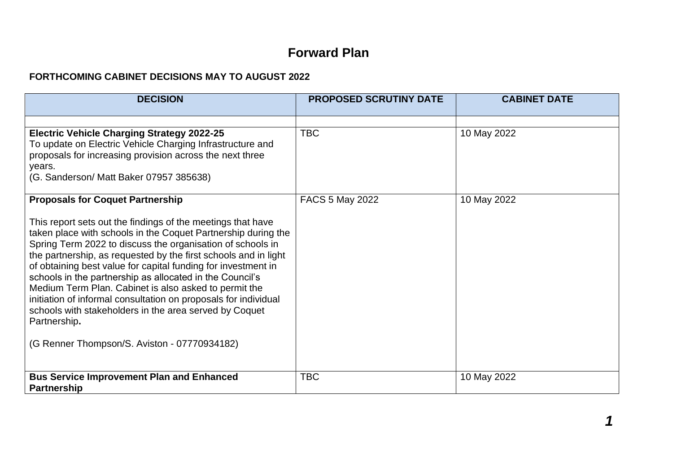## **Forward Plan**

## **FORTHCOMING CABINET DECISIONS MAY TO AUGUST 2022**

| <b>DECISION</b>                                                                                                                                                                                                                                                                                                                                                                                                                                                                                                                                                                                                                                  | <b>PROPOSED SCRUTINY DATE</b> | <b>CABINET DATE</b> |
|--------------------------------------------------------------------------------------------------------------------------------------------------------------------------------------------------------------------------------------------------------------------------------------------------------------------------------------------------------------------------------------------------------------------------------------------------------------------------------------------------------------------------------------------------------------------------------------------------------------------------------------------------|-------------------------------|---------------------|
|                                                                                                                                                                                                                                                                                                                                                                                                                                                                                                                                                                                                                                                  |                               |                     |
| <b>Electric Vehicle Charging Strategy 2022-25</b><br>To update on Electric Vehicle Charging Infrastructure and<br>proposals for increasing provision across the next three<br>years.<br>(G. Sanderson/ Matt Baker 07957 385638)                                                                                                                                                                                                                                                                                                                                                                                                                  | <b>TBC</b>                    | 10 May 2022         |
| <b>Proposals for Coquet Partnership</b>                                                                                                                                                                                                                                                                                                                                                                                                                                                                                                                                                                                                          | FACS 5 May 2022               | 10 May 2022         |
| This report sets out the findings of the meetings that have<br>taken place with schools in the Coquet Partnership during the<br>Spring Term 2022 to discuss the organisation of schools in<br>the partnership, as requested by the first schools and in light<br>of obtaining best value for capital funding for investment in<br>schools in the partnership as allocated in the Council's<br>Medium Term Plan. Cabinet is also asked to permit the<br>initiation of informal consultation on proposals for individual<br>schools with stakeholders in the area served by Coquet<br>Partnership.<br>(G Renner Thompson/S. Aviston - 07770934182) |                               |                     |
|                                                                                                                                                                                                                                                                                                                                                                                                                                                                                                                                                                                                                                                  |                               |                     |
| <b>Bus Service Improvement Plan and Enhanced</b><br><b>Partnership</b>                                                                                                                                                                                                                                                                                                                                                                                                                                                                                                                                                                           | <b>TBC</b>                    | 10 May 2022         |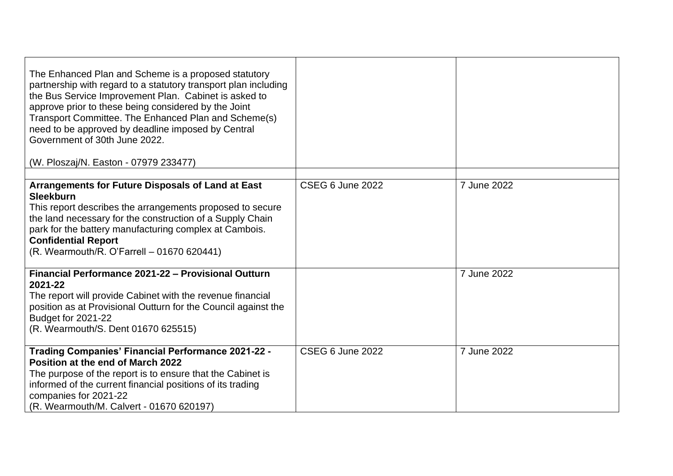| The Enhanced Plan and Scheme is a proposed statutory<br>partnership with regard to a statutory transport plan including<br>the Bus Service Improvement Plan. Cabinet is asked to<br>approve prior to these being considered by the Joint<br>Transport Committee. The Enhanced Plan and Scheme(s)<br>need to be approved by deadline imposed by Central<br>Government of 30th June 2022.<br>(W. Ploszaj/N. Easton - 07979 233477) |                         |             |
|----------------------------------------------------------------------------------------------------------------------------------------------------------------------------------------------------------------------------------------------------------------------------------------------------------------------------------------------------------------------------------------------------------------------------------|-------------------------|-------------|
|                                                                                                                                                                                                                                                                                                                                                                                                                                  |                         |             |
| Arrangements for Future Disposals of Land at East<br><b>Sleekburn</b><br>This report describes the arrangements proposed to secure<br>the land necessary for the construction of a Supply Chain<br>park for the battery manufacturing complex at Cambois.<br><b>Confidential Report</b><br>(R. Wearmouth/R. O'Farrell - 01670 620441)                                                                                            | <b>CSEG 6 June 2022</b> | 7 June 2022 |
| Financial Performance 2021-22 - Provisional Outturn<br>2021-22<br>The report will provide Cabinet with the revenue financial<br>position as at Provisional Outturn for the Council against the<br>Budget for 2021-22<br>(R. Wearmouth/S. Dent 01670 625515)                                                                                                                                                                      |                         | 7 June 2022 |
| <b>Trading Companies' Financial Performance 2021-22 -</b><br>Position at the end of March 2022<br>The purpose of the report is to ensure that the Cabinet is<br>informed of the current financial positions of its trading<br>companies for 2021-22<br>(R. Wearmouth/M. Calvert - 01670 620197)                                                                                                                                  | <b>CSEG 6 June 2022</b> | 7 June 2022 |